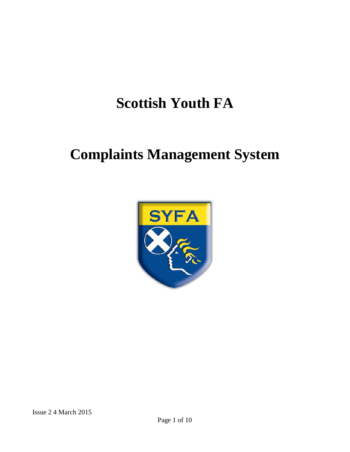# **Scottish Youth FA**

# **Complaints Management System**

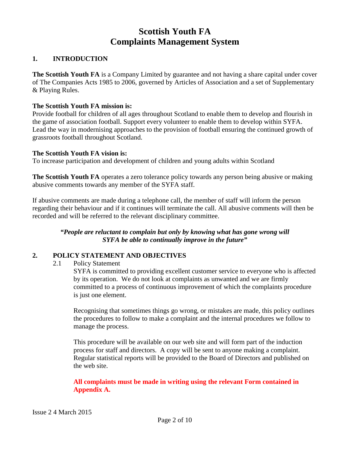# **Scottish Youth FA Complaints Management System**

### **1. INTRODUCTION**

**The Scottish Youth FA** is a Company Limited by guarantee and not having a share capital under cover of The Companies Acts 1985 to 2006, governed by Articles of Association and a set of Supplementary & Playing Rules.

#### **The Scottish Youth FA mission is:**

Provide football for children of all ages throughout Scotland to enable them to develop and flourish in the game of association football. Support every volunteer to enable them to develop within SYFA. Lead the way in modernising approaches to the provision of football ensuring the continued growth of grassroots football throughout Scotland.

#### **The Scottish Youth FA vision is:**

To increase participation and development of children and young adults within Scotland

**The Scottish Youth FA** operates a zero tolerance policy towards any person being abusive or making abusive comments towards any member of the SYFA staff.

If abusive comments are made during a telephone call, the member of staff will inform the person regarding their behaviour and if it continues will terminate the call. All abusive comments will then be recorded and will be referred to the relevant disciplinary committee.

#### *"People are reluctant to complain but only by knowing what has gone wrong will SYFA be able to continually improve in the future"*

#### **2. POLICY STATEMENT AND OBJECTIVES**

2.1 Policy Statement

SYFA is committed to providing excellent customer service to everyone who is affected by its operation. We do not look at complaints as unwanted and we are firmly committed to a process of continuous improvement of which the complaints procedure is just one element.

Recognising that sometimes things go wrong, or mistakes are made, this policy outlines the procedures to follow to make a complaint and the internal procedures we follow to manage the process.

This procedure will be available on our web site and will form part of the induction process for staff and directors. A copy will be sent to anyone making a complaint. Regular statistical reports will be provided to the Board of Directors and published on the web site.

**All complaints must be made in writing using the relevant Form contained in Appendix A.**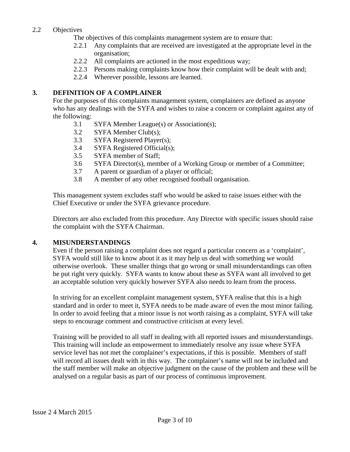## 2.2 Objectives

The objectives of this complaints management system are to ensure that:

- 2.2.1 Any complaints that are received are investigated at the appropriate level in the organisation;
- 2.2.2 All complaints are actioned in the most expeditious way;
- 2.2.3 Persons making complaints know how their complaint will be dealt with and;
- 2.2.4 Wherever possible, lessons are learned.

#### **3. DEFINITION OF A COMPLAINER**

For the purposes of this complaints management system, complainers are defined as anyone who has any dealings with the SYFA and wishes to raise a concern or complaint against any of the following:

- 3.1 SYFA Member League(s) or Association(s);
- 3.2 SYFA Member Club(s);
- 3.3 SYFA Registered Player(s);
- 3.4 SYFA Registered Official(s);
- 3.5 SYFA member of Staff;
- 3.6 SYFA Director(s), member of a Working Group or member of a Committee;
- 3.7 A parent or guardian of a player or official;
- 3.8 A member of any other recognised football organisation.

This management system excludes staff who would be asked to raise issues either with the Chief Executive or under the SYFA grievance procedure.

Directors are also excluded from this procedure. Any Director with specific issues should raise the complaint with the SYFA Chairman.

#### **4. MISUNDERSTANDINGS**

Even if the person raising a complaint does not regard a particular concern as a 'complaint', SYFA would still like to know about it as it may help us deal with something we would otherwise overlook. These smaller things that go wrong or small misunderstandings can often be put right very quickly. SYFA wants to know about these as SYFA want all involved to get an acceptable solution very quickly however SYFA also needs to learn from the process.

In striving for an excellent complaint management system, SYFA realise that this is a high standard and in order to meet it, SYFA needs to be made aware of even the most minor failing. In order to avoid feeling that a minor issue is not worth raising as a complaint, SYFA will take steps to encourage comment and constructive criticism at every level.

Training will be provided to all staff in dealing with all reported issues and misunderstandings. This training will include an empowerment to immediately resolve any issue where SYFA service level has not met the complainer's expectations, if this is possible. Members of staff will record all issues dealt with in this way. The complainer's name will not be included and the staff member will make an objective judgment on the cause of the problem and these will be analysed on a regular basis as part of our process of continuous improvement.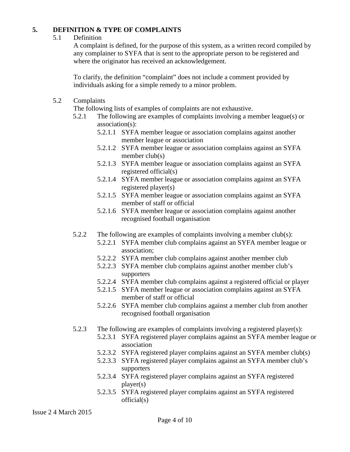#### **5. DEFINITION & TYPE OF COMPLAINTS**

#### 5.1 Definition

A complaint is defined, for the purpose of this system, as a written record compiled by any complainer to SYFA that is sent to the appropriate person to be registered and where the originator has received an acknowledgement.

To clarify, the definition "complaint" does not include a comment provided by individuals asking for a simple remedy to a minor problem.

5.2 Complaints

The following lists of examples of complaints are not exhaustive.

- 5.2.1 The following are examples of complaints involving a member league(s) or association(s):
	- 5.2.1.1 SYFA member league or association complains against another member league or association
	- 5.2.1.2 SYFA member league or association complains against an SYFA member club(s)
	- 5.2.1.3 SYFA member league or association complains against an SYFA registered official(s)
	- 5.2.1.4 SYFA member league or association complains against an SYFA registered player(s)
	- 5.2.1.5 SYFA member league or association complains against an SYFA member of staff or official
	- 5.2.1.6 SYFA member league or association complains against another recognised football organisation
- 5.2.2 The following are examples of complaints involving a member club(s):
	- 5.2.2.1 SYFA member club complains against an SYFA member league or association;
	- 5.2.2.2 SYFA member club complains against another member club
	- 5.2.2.3 SYFA member club complains against another member club's supporters
	- 5.2.2.4 SYFA member club complains against a registered official or player
	- 5.2.1.5 SYFA member league or association complains against an SYFA member of staff or official
	- 5.2.2.6 SYFA member club complains against a member club from another recognised football organisation
- 5.2.3 The following are examples of complaints involving a registered player(s):
	- 5.2.3.1 SYFA registered player complains against an SYFA member league or association
	- 5.2.3.2 SYFA registered player complains against an SYFA member club(s)
	- 5.2.3.3 SYFA registered player complains against an SYFA member club's supporters
	- 5.2.3.4 SYFA registered player complains against an SYFA registered player(s)
	- 5.2.3.5 SYFA registered player complains against an SYFA registered official(s)

Issue 2 4 March 2015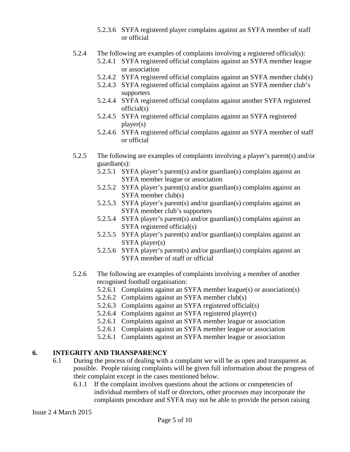- 5.2.3.6 SYFA registered player complains against an SYFA member of staff or official
- 5.2.4 The following are examples of complaints involving a registered official(s):
	- 5.2.4.1 SYFA registered official complains against an SYFA member league or association
	- 5.2.4.2 SYFA registered official complains against an SYFA member club(s)
	- 5.2.4.3 SYFA registered official complains against an SYFA member club's supporters
	- 5.2.4.4 SYFA registered official complains against another SYFA registered official(s)
	- 5.2.4.5 SYFA registered official complains against an SYFA registered player(s)
	- 5.2.4.6 SYFA registered official complains against an SYFA member of staff or official
- 5.2.5 The following are examples of complaints involving a player's parent(s) and/or guardian(s):
	- 5.2.5.1 SYFA player's parent(s) and/or guardian(s) complains against an SYFA member league or association
	- 5.2.5.2 SYFA player's parent(s) and/or guardian(s) complains against an SYFA member club(s)
	- 5.2.5.3 SYFA player's parent(s) and/or guardian(s) complains against an SYFA member club's supporters
	- 5.2.5.4 SYFA player's parent(s) and/or guardian(s) complains against an SYFA registered official(s)
	- 5.2.5.5 SYFA player's parent(s) and/or guardian(s) complains against an SYFA player(s)
	- 5.2.5.6 SYFA player's parent(s) and/or guardian(s) complains against an SYFA member of staff or official
- 5.2.6 The following are examples of complaints involving a member of another recognised football organisation:
	- 5.2.6.1 Complaints against an SYFA member league(s) or association(s)
	- 5.2.6.2 Complaints against an SYFA member club(s)
	- 5.2.6.3 Complaints against an SYFA registered official(s)
	- 5.2.6.4 Complaints against an SYFA registered player(s)
	- 5.2.6.1 Complaints against an SYFA member league or association
	- 5.2.6.1 Complaints against an SYFA member league or association
	- 5.2.6.1 Complaints against an SYFA member league or association

# **6. INTEGRITY AND TRANSPARENCY**

- 6.1 During the process of dealing with a complaint we will be as open and transparent as possible. People raising complaints will be given full information about the progress of their complaint except in the cases mentioned below.
	- 6.1.1 If the complaint involves questions about the actions or competencies of individual members of staff or directors, other processes may incorporate the complaints procedure and SYFA may not be able to provide the person raising

Issue 2 4 March 2015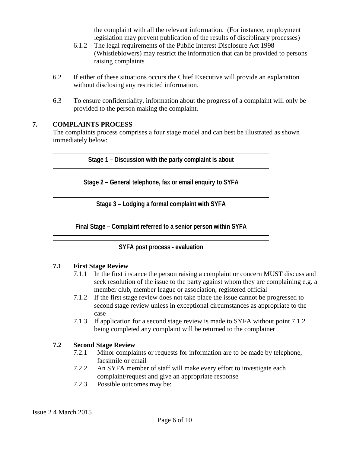the complaint with all the relevant information. (For instance, employment legislation may prevent publication of the results of disciplinary processes)

- 6.1.2 The legal requirements of the Public Interest Disclosure Act 1998 (Whistleblowers) may restrict the information that can be provided to persons raising complaints
- 6.2 If either of these situations occurs the Chief Executive will provide an explanation without disclosing any restricted information.
- 6.3 To ensure confidentiality, information about the progress of a complaint will only be provided to the person making the complaint.

# **7. COMPLAINTS PROCESS**

The complaints process comprises a four stage model and can best be illustrated as shown immediately below:

**Stage 1 – Discussion with the party complaint is about**

**Stage 2 – General telephone, fax or email enquiry to SYFA**

**Stage 3 – Lodging a formal complaint with SYFA**

**Final Stage – Complaint referred to a senior person within SYFA**

**SYFA post process - evaluation**

#### **7.1 First Stage Review**

- 7.1.1 In the first instance the person raising a complaint or concern MUST discuss and seek resolution of the issue to the party against whom they are complaining e.g. a member club, member league or association, registered official
- 7.1.2 If the first stage review does not take place the issue cannot be progressed to second stage review unless in exceptional circumstances as appropriate to the case
- 7.1.3 If application for a second stage review is made to SYFA without point 7.1.2 being completed any complaint will be returned to the complainer

#### **7.2 Second Stage Review**

- 7.2.1 Minor complaints or requests for information are to be made by telephone, facsimile or email
- 7.2.2 An SYFA member of staff will make every effort to investigate each complaint/request and give an appropriate response
- 7.2.3 Possible outcomes may be: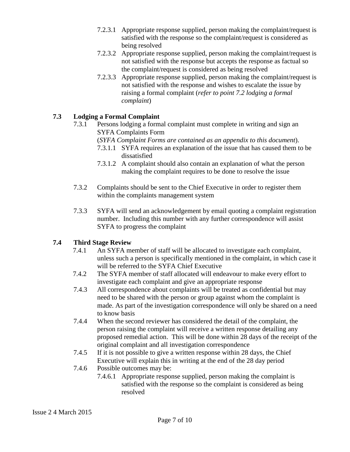- 7.2.3.1 Appropriate response supplied, person making the complaint/request is satisfied with the response so the complaint/request is considered as being resolved
- 7.2.3.2 Appropriate response supplied, person making the complaint/request is not satisfied with the response but accepts the response as factual so the complaint/request is considered as being resolved
- 7.2.3.3 Appropriate response supplied, person making the complaint/request is not satisfied with the response and wishes to escalate the issue by raising a formal complaint (*refer to point 7.2 lodging a formal complaint*)

# **7.3 Lodging a Formal Complaint**

- 7.3.1 Persons lodging a formal complaint must complete in writing and sign an SYFA Complaints Form
	- (*SYFA Complaint Forms are contained as an appendix to this document*).
	- 7.3.1.1 SYFA requires an explanation of the issue that has caused them to be dissatisfied
	- 7.3.1.2 A complaint should also contain an explanation of what the person making the complaint requires to be done to resolve the issue
- 7.3.2 Complaints should be sent to the Chief Executive in order to register them within the complaints management system
- 7.3.3 SYFA will send an acknowledgement by email quoting a complaint registration number. Including this number with any further correspondence will assist SYFA to progress the complaint

# **7.4 Third Stage Review**

- 7.4.1 An SYFA member of staff will be allocated to investigate each complaint, unless such a person is specifically mentioned in the complaint, in which case it will be referred to the SYFA Chief Executive
- 7.4.2 The SYFA member of staff allocated will endeavour to make every effort to investigate each complaint and give an appropriate response
- 7.4.3 All correspondence about complaints will be treated as confidential but may need to be shared with the person or group against whom the complaint is made. As part of the investigation correspondence will only be shared on a need to know basis
- 7.4.4 When the second reviewer has considered the detail of the complaint, the person raising the complaint will receive a written response detailing any proposed remedial action. This will be done within 28 days of the receipt of the original complaint and all investigation correspondence
- 7.4.5 If it is not possible to give a written response within 28 days, the Chief Executive will explain this in writing at the end of the 28 day period
- 7.4.6 Possible outcomes may be:
	- 7.4.6.1 Appropriate response supplied, person making the complaint is satisfied with the response so the complaint is considered as being resolved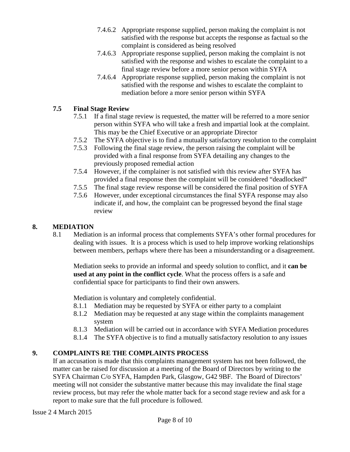- 7.4.6.2 Appropriate response supplied, person making the complaint is not satisfied with the response but accepts the response as factual so the complaint is considered as being resolved
- 7.4.6.3 Appropriate response supplied, person making the complaint is not satisfied with the response and wishes to escalate the complaint to a final stage review before a more senior person within SYFA
- 7.4.6.4 Appropriate response supplied, person making the complaint is not satisfied with the response and wishes to escalate the complaint to mediation before a more senior person within SYFA

# **7.5 Final Stage Review**

- 7.5.1 If a final stage review is requested, the matter will be referred to a more senior person within SYFA who will take a fresh and impartial look at the complaint. This may be the Chief Executive or an appropriate Director
- 7.5.2 The SYFA objective is to find a mutually satisfactory resolution to the complaint
- 7.5.3 Following the final stage review, the person raising the complaint will be provided with a final response from SYFA detailing any changes to the previously proposed remedial action
- 7.5.4 However, if the complainer is not satisfied with this review after SYFA has provided a final response then the complaint will be considered "deadlocked"
- 7.5.5 The final stage review response will be considered the final position of SYFA
- 7.5.6 However, under exceptional circumstances the final SYFA response may also indicate if, and how, the complaint can be progressed beyond the final stage review

# **8. MEDIATION**

8.1 Mediation is an informal process that complements SYFA's other formal procedures for dealing with issues. It is a process which is used to help improve working relationships between members, perhaps where there has been a misunderstanding or a disagreement.

Mediation seeks to provide an informal and speedy solution to conflict, and it **can be used at any point in the conflict cycle**. What the process offers is a safe and confidential space for participants to find their own answers.

Mediation is voluntary and completely confidential.

- 8.1.1 Mediation may be requested by SYFA or either party to a complaint
- 8.1.2 Mediation may be requested at any stage within the complaints management system
- 8.1.3 Mediation will be carried out in accordance with SYFA Mediation procedures
- 8.1.4 The SYFA objective is to find a mutually satisfactory resolution to any issues

# **9. COMPLAINTS RE THE COMPLAINTS PROCESS**

If an accusation is made that this complaints management system has not been followed, the matter can be raised for discussion at a meeting of the Board of Directors by writing to the SYFA Chairman C/o SYFA, Hampden Park, Glasgow, G42 9BF. The Board of Directors' meeting will not consider the substantive matter because this may invalidate the final stage review process, but may refer the whole matter back for a second stage review and ask for a report to make sure that the full procedure is followed.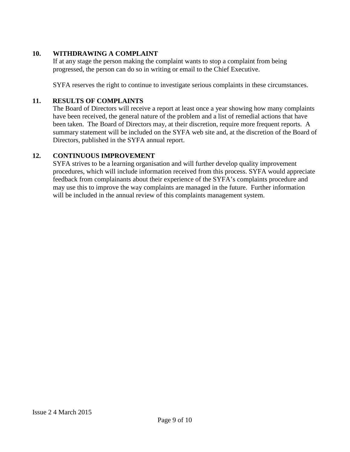## **10. WITHDRAWING A COMPLAINT**

If at any stage the person making the complaint wants to stop a complaint from being progressed, the person can do so in writing or email to the Chief Executive.

SYFA reserves the right to continue to investigate serious complaints in these circumstances.

#### **11. RESULTS OF COMPLAINTS**

The Board of Directors will receive a report at least once a year showing how many complaints have been received, the general nature of the problem and a list of remedial actions that have been taken. The Board of Directors may, at their discretion, require more frequent reports. A summary statement will be included on the SYFA web site and, at the discretion of the Board of Directors, published in the SYFA annual report.

## **12. CONTINUOUS IMPROVEMENT**

SYFA strives to be a learning organisation and will further develop quality improvement procedures, which will include information received from this process. SYFA would appreciate feedback from complainants about their experience of the SYFA's complaints procedure and may use this to improve the way complaints are managed in the future. Further information will be included in the annual review of this complaints management system.